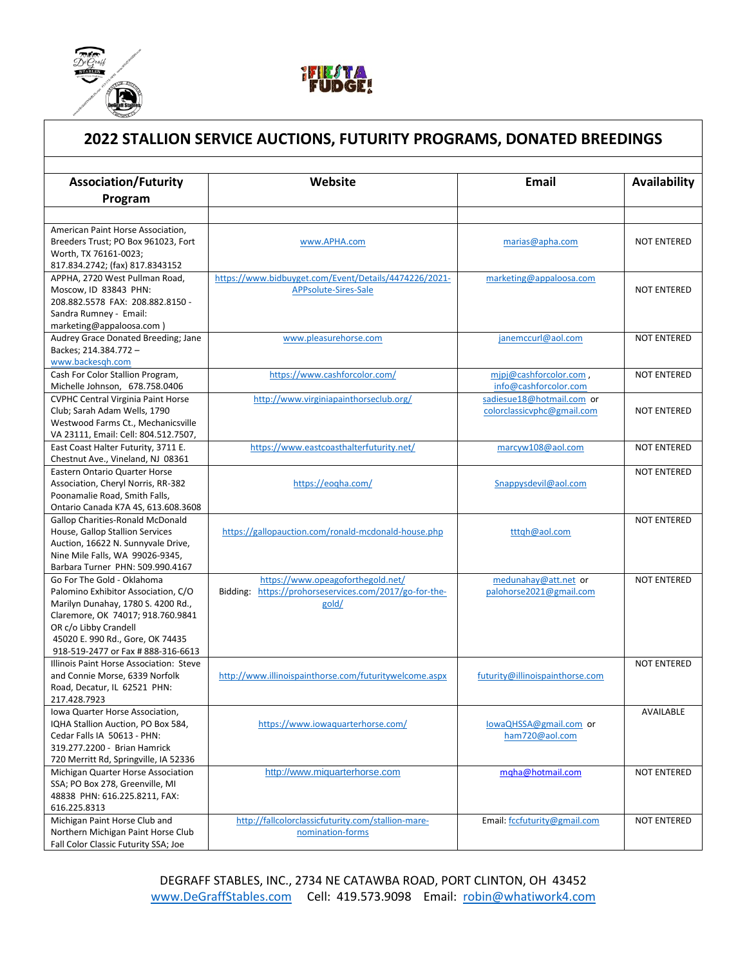



## **2022 STALLION SERVICE AUCTIONS, FUTURITY PROGRAMS, DONATED BREEDINGS Association/Futurity Website Email Availability**

| Program                                                             |                                                        |                                 |                    |
|---------------------------------------------------------------------|--------------------------------------------------------|---------------------------------|--------------------|
|                                                                     |                                                        |                                 |                    |
| American Paint Horse Association.                                   |                                                        |                                 |                    |
| Breeders Trust; PO Box 961023, Fort                                 | www.APHA.com                                           | marias@apha.com                 | <b>NOT ENTERED</b> |
| Worth, TX 76161-0023;                                               |                                                        |                                 |                    |
| 817.834.2742; (fax) 817.8343152                                     |                                                        |                                 |                    |
| APPHA, 2720 West Pullman Road,                                      | https://www.bidbuyget.com/Event/Details/4474226/2021-  | marketing@appaloosa.com         |                    |
| Moscow, ID 83843 PHN:                                               | APPsolute-Sires-Sale                                   |                                 | <b>NOT ENTERED</b> |
| 208.882.5578 FAX: 208.882.8150 -                                    |                                                        |                                 |                    |
| Sandra Rumney - Email:                                              |                                                        |                                 |                    |
| marketing@appaloosa.com)                                            |                                                        |                                 |                    |
| Audrey Grace Donated Breeding; Jane                                 | www.pleasurehorse.com                                  | janemccurl@aol.com              | <b>NOT ENTERED</b> |
| Backes; 214.384.772 -                                               |                                                        |                                 |                    |
| www.backesqh.com                                                    |                                                        |                                 |                    |
| Cash For Color Stallion Program,                                    | https://www.cashforcolor.com/                          | mipj@cashforcolor.com,          | <b>NOT ENTERED</b> |
| Michelle Johnson, 678.758.0406                                      |                                                        | info@cashforcolor.com           |                    |
| <b>CVPHC Central Virginia Paint Horse</b>                           | http://www.virginiapainthorseclub.org/                 | sadiesue18@hotmail.com or       |                    |
| Club; Sarah Adam Wells, 1790                                        |                                                        | colorclassicvphc@gmail.com      | <b>NOT ENTERED</b> |
| Westwood Farms Ct., Mechanicsville                                  |                                                        |                                 |                    |
| VA 23111, Email: Cell: 804.512.7507,                                |                                                        |                                 |                    |
| East Coast Halter Futurity, 3711 E.                                 | https://www.eastcoasthalterfuturity.net/               | marcyw108@aol.com               | <b>NOT ENTERED</b> |
| Chestnut Ave., Vineland, NJ 08361                                   |                                                        |                                 |                    |
| <b>Eastern Ontario Quarter Horse</b>                                |                                                        |                                 | <b>NOT ENTERED</b> |
| Association, Cheryl Norris, RR-382                                  | https://eogha.com/                                     | Snappysdevil@aol.com            |                    |
| Poonamalie Road, Smith Falls,                                       |                                                        |                                 |                    |
| Ontario Canada K7A 4S, 613.608.3608                                 |                                                        |                                 |                    |
| <b>Gallop Charities-Ronald McDonald</b>                             |                                                        |                                 | <b>NOT ENTERED</b> |
| House, Gallop Stallion Services                                     | https://gallopauction.com/ronald-mcdonald-house.php    | tttgh@aol.com                   |                    |
| Auction, 16622 N. Sunnyvale Drive,                                  |                                                        |                                 |                    |
| Nine Mile Falls, WA 99026-9345,<br>Barbara Turner PHN: 509.990.4167 |                                                        |                                 |                    |
| Go For The Gold - Oklahoma                                          | https://www.opeagoforthegold.net/                      | medunahay@att.net or            | <b>NOT ENTERED</b> |
| Palomino Exhibitor Association, C/O                                 | Bidding: https://prohorseservices.com/2017/go-for-the- | palohorse2021@gmail.com         |                    |
| Marilyn Dunahay, 1780 S. 4200 Rd.,                                  | gold/                                                  |                                 |                    |
| Claremore, OK 74017; 918.760.9841                                   |                                                        |                                 |                    |
| OR c/o Libby Crandell                                               |                                                        |                                 |                    |
| 45020 E. 990 Rd., Gore, OK 74435                                    |                                                        |                                 |                    |
| 918-519-2477 or Fax # 888-316-6613                                  |                                                        |                                 |                    |
| Illinois Paint Horse Association: Steve                             |                                                        |                                 | <b>NOT ENTERED</b> |
| and Connie Morse, 6339 Norfolk                                      | http://www.illinoispainthorse.com/futuritywelcome.aspx | futurity@illinoispainthorse.com |                    |
| Road, Decatur, IL 62521 PHN:                                        |                                                        |                                 |                    |
| 217.428.7923                                                        |                                                        |                                 |                    |
| Iowa Quarter Horse Association,                                     |                                                        |                                 | AVAILABLE          |
| IQHA Stallion Auction, PO Box 584,                                  | https://www.iowaguarterhorse.com/                      | lowaQHSSA@gmail.com or          |                    |
| Cedar Falls IA 50613 - PHN:                                         |                                                        | ham720@aol.com                  |                    |
| 319.277.2200 - Brian Hamrick                                        |                                                        |                                 |                    |
| 720 Merritt Rd, Springville, IA 52336                               |                                                        |                                 |                    |
| Michigan Quarter Horse Association                                  | http://www.miquarterhorse.com                          | mqha@hotmail.com                | <b>NOT ENTERED</b> |
| SSA; PO Box 278, Greenville, MI                                     |                                                        |                                 |                    |
| 48838 PHN: 616.225.8211, FAX:                                       |                                                        |                                 |                    |
| 616.225.8313                                                        |                                                        |                                 |                    |
| Michigan Paint Horse Club and                                       | http://fallcolorclassicfuturity.com/stallion-mare-     | Email: fccfuturity@gmail.com    | <b>NOT ENTERED</b> |
| Northern Michigan Paint Horse Club                                  | nomination-forms                                       |                                 |                    |
| Fall Color Classic Futurity SSA; Joe                                |                                                        |                                 |                    |